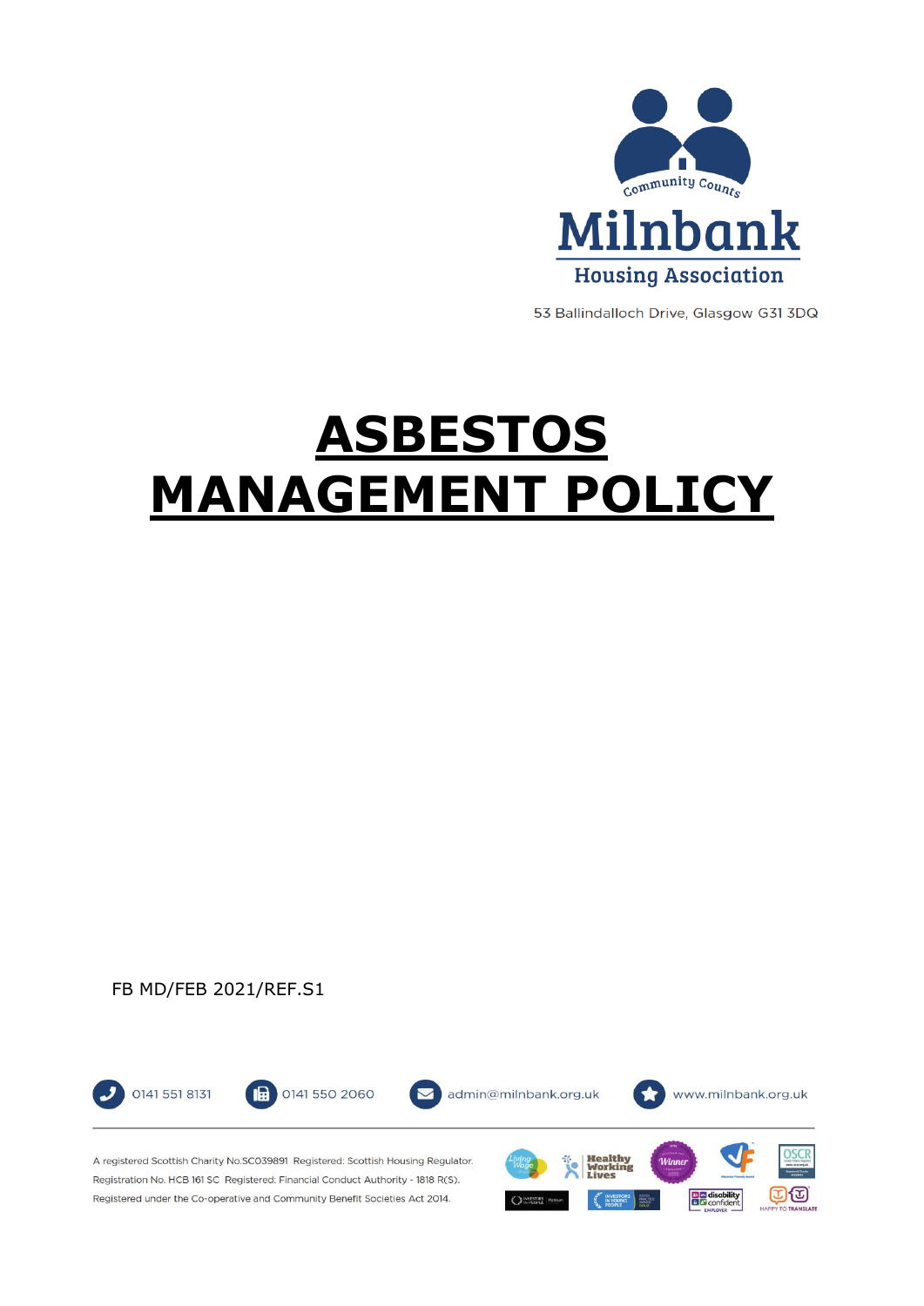

53 Ballindalloch Drive, Glasgow G31 3DQ

# **ASBESTOS MANAGEMENT POLICY**

## FB MD/FEB 2021/REF.S1

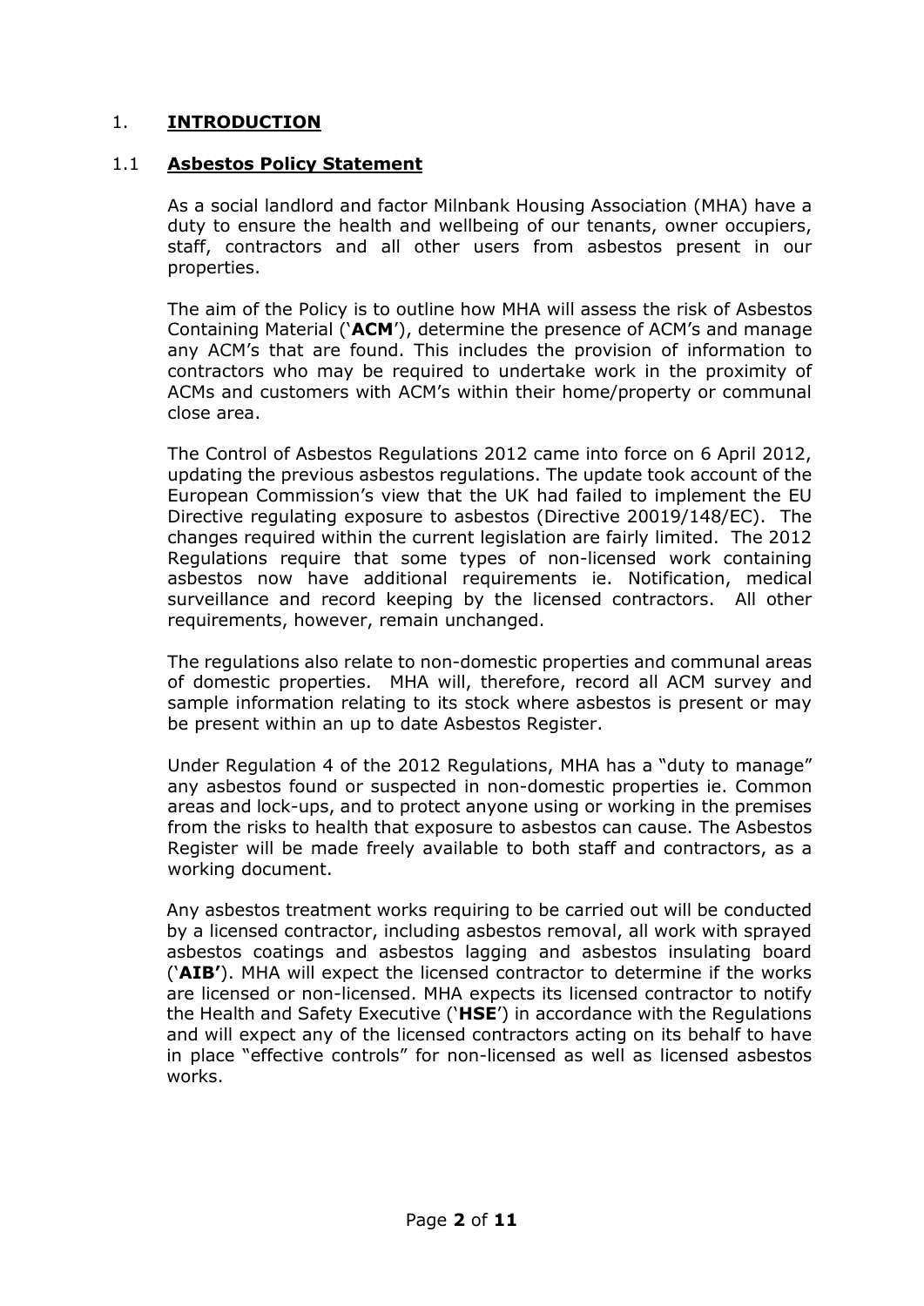## 1. **INTRODUCTION**

## 1.1 **Asbestos Policy Statement**

As a social landlord and factor Milnbank Housing Association (MHA) have a duty to ensure the health and wellbeing of our tenants, owner occupiers, staff, contractors and all other users from asbestos present in our properties.

The aim of the Policy is to outline how MHA will assess the risk of Asbestos Containing Material ('**ACM**'), determine the presence of ACM's and manage any ACM's that are found. This includes the provision of information to contractors who may be required to undertake work in the proximity of ACMs and customers with ACM's within their home/property or communal close area.

The Control of Asbestos Regulations 2012 came into force on 6 April 2012, updating the previous asbestos regulations. The update took account of the European Commission's view that the UK had failed to implement the EU Directive regulating exposure to asbestos (Directive 20019/148/EC). The changes required within the current legislation are fairly limited. The 2012 Regulations require that some types of non-licensed work containing asbestos now have additional requirements ie. Notification, medical surveillance and record keeping by the licensed contractors. All other requirements, however, remain unchanged.

The regulations also relate to non-domestic properties and communal areas of domestic properties. MHA will, therefore, record all ACM survey and sample information relating to its stock where asbestos is present or may be present within an up to date Asbestos Register.

Under Regulation 4 of the 2012 Regulations, MHA has a "duty to manage" any asbestos found or suspected in non-domestic properties ie. Common areas and lock-ups, and to protect anyone using or working in the premises from the risks to health that exposure to asbestos can cause. The Asbestos Register will be made freely available to both staff and contractors, as a working document.

Any asbestos treatment works requiring to be carried out will be conducted by a licensed contractor, including asbestos removal, all work with sprayed asbestos coatings and asbestos lagging and asbestos insulating board ('**AIB'**). MHA will expect the licensed contractor to determine if the works are licensed or non-licensed. MHA expects its licensed contractor to notify the Health and Safety Executive ('**HSE**') in accordance with the Regulations and will expect any of the licensed contractors acting on its behalf to have in place "effective controls" for non-licensed as well as licensed asbestos works.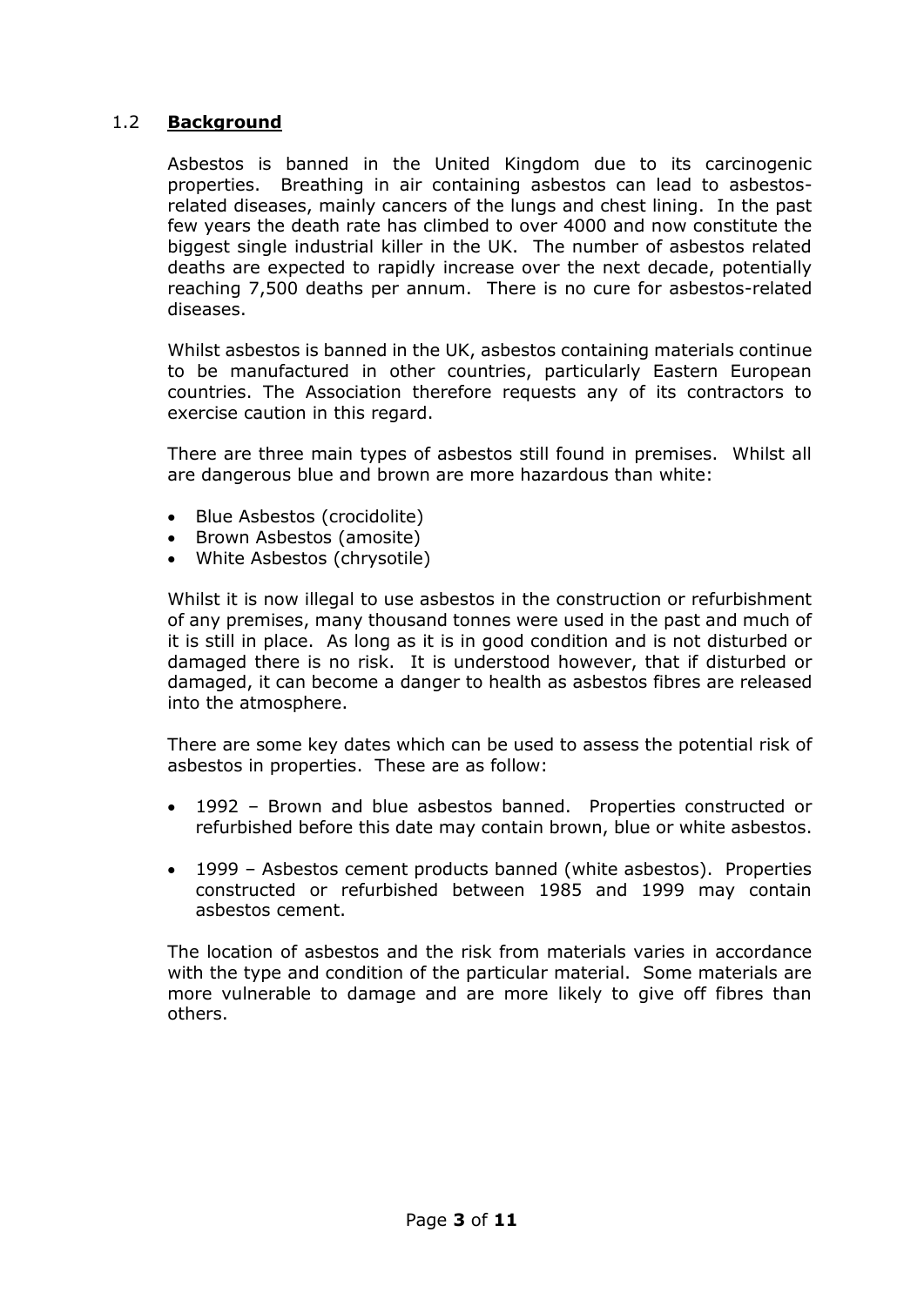## 1.2 **Background**

Asbestos is banned in the United Kingdom due to its carcinogenic properties. Breathing in air containing asbestos can lead to asbestosrelated diseases, mainly cancers of the lungs and chest lining. In the past few years the death rate has climbed to over 4000 and now constitute the biggest single industrial killer in the UK. The number of asbestos related deaths are expected to rapidly increase over the next decade, potentially reaching 7,500 deaths per annum. There is no cure for asbestos-related diseases.

Whilst asbestos is banned in the UK, asbestos containing materials continue to be manufactured in other countries, particularly Eastern European countries. The Association therefore requests any of its contractors to exercise caution in this regard.

There are three main types of asbestos still found in premises. Whilst all are dangerous blue and brown are more hazardous than white:

- Blue Asbestos (crocidolite)
- Brown Asbestos (amosite)
- White Asbestos (chrysotile)

Whilst it is now illegal to use asbestos in the construction or refurbishment of any premises, many thousand tonnes were used in the past and much of it is still in place. As long as it is in good condition and is not disturbed or damaged there is no risk. It is understood however, that if disturbed or damaged, it can become a danger to health as asbestos fibres are released into the atmosphere.

There are some key dates which can be used to assess the potential risk of asbestos in properties. These are as follow:

- 1992 Brown and blue asbestos banned. Properties constructed or refurbished before this date may contain brown, blue or white asbestos.
- 1999 Asbestos cement products banned (white asbestos). Properties constructed or refurbished between 1985 and 1999 may contain asbestos cement.

The location of asbestos and the risk from materials varies in accordance with the type and condition of the particular material. Some materials are more vulnerable to damage and are more likely to give off fibres than others.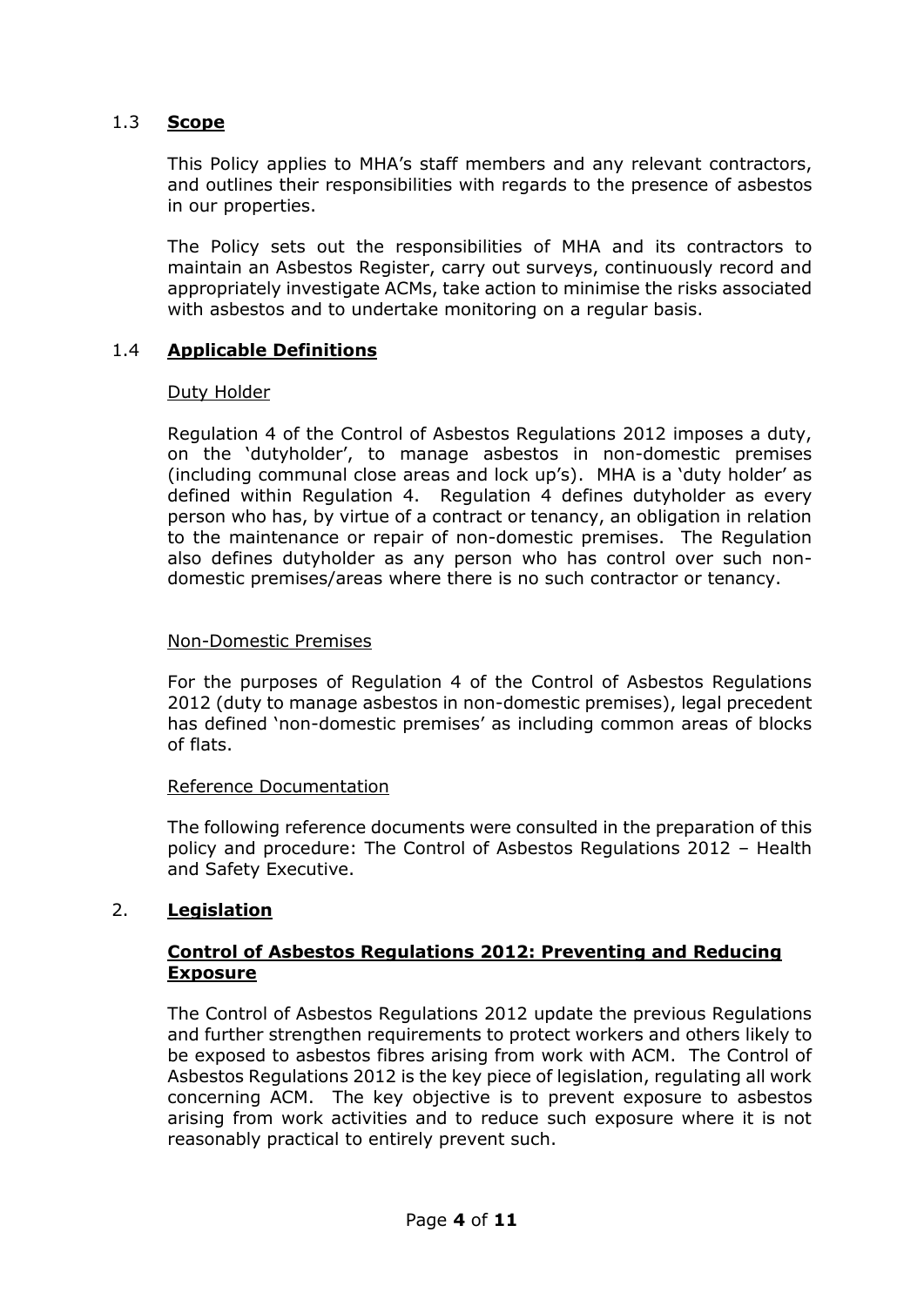#### 1.3 **Scope**

This Policy applies to MHA's staff members and any relevant contractors, and outlines their responsibilities with regards to the presence of asbestos in our properties.

The Policy sets out the responsibilities of MHA and its contractors to maintain an Asbestos Register, carry out surveys, continuously record and appropriately investigate ACMs, take action to minimise the risks associated with asbestos and to undertake monitoring on a regular basis.

#### 1.4 **Applicable Definitions**

#### Duty Holder

Regulation 4 of the Control of Asbestos Regulations 2012 imposes a duty, on the 'dutyholder', to manage asbestos in non-domestic premises (including communal close areas and lock up's). MHA is a 'duty holder' as defined within Regulation 4. Regulation 4 defines dutyholder as every person who has, by virtue of a contract or tenancy, an obligation in relation to the maintenance or repair of non-domestic premises. The Regulation also defines dutyholder as any person who has control over such nondomestic premises/areas where there is no such contractor or tenancy.

#### Non-Domestic Premises

For the purposes of Regulation 4 of the Control of Asbestos Regulations 2012 (duty to manage asbestos in non-domestic premises), legal precedent has defined 'non-domestic premises' as including common areas of blocks of flats.

#### Reference Documentation

The following reference documents were consulted in the preparation of this policy and procedure: The Control of Asbestos Regulations 2012 – Health and Safety Executive.

#### 2. **Legislation**

#### **Control of Asbestos Regulations 2012: Preventing and Reducing Exposure**

The Control of Asbestos Regulations 2012 update the previous Regulations and further strengthen requirements to protect workers and others likely to be exposed to asbestos fibres arising from work with ACM. The Control of Asbestos Regulations 2012 is the key piece of legislation, regulating all work concerning ACM. The key objective is to prevent exposure to asbestos arising from work activities and to reduce such exposure where it is not reasonably practical to entirely prevent such.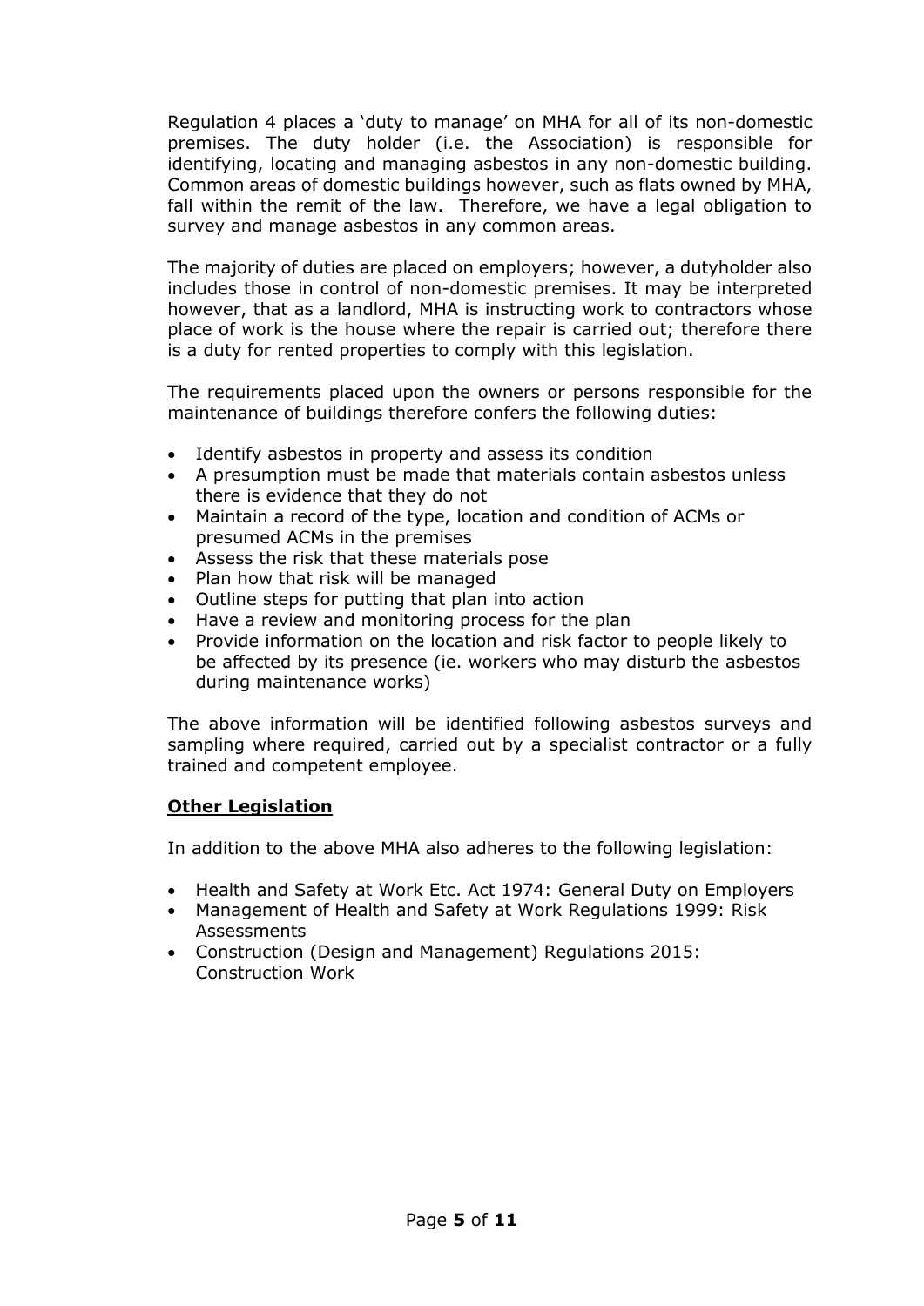Regulation 4 places a 'duty to manage' on MHA for all of its non-domestic premises. The duty holder (i.e. the Association) is responsible for identifying, locating and managing asbestos in any non-domestic building. Common areas of domestic buildings however, such as flats owned by MHA, fall within the remit of the law. Therefore, we have a legal obligation to survey and manage asbestos in any common areas.

The majority of duties are placed on employers; however, a dutyholder also includes those in control of non-domestic premises. It may be interpreted however, that as a landlord, MHA is instructing work to contractors whose place of work is the house where the repair is carried out; therefore there is a duty for rented properties to comply with this legislation.

The requirements placed upon the owners or persons responsible for the maintenance of buildings therefore confers the following duties:

- Identify asbestos in property and assess its condition
- A presumption must be made that materials contain asbestos unless there is evidence that they do not
- Maintain a record of the type, location and condition of ACMs or presumed ACMs in the premises
- Assess the risk that these materials pose
- Plan how that risk will be managed
- Outline steps for putting that plan into action
- Have a review and monitoring process for the plan
- Provide information on the location and risk factor to people likely to be affected by its presence (ie. workers who may disturb the asbestos during maintenance works)

The above information will be identified following asbestos surveys and sampling where required, carried out by a specialist contractor or a fully trained and competent employee.

#### **Other Legislation**

In addition to the above MHA also adheres to the following legislation:

- Health and Safety at Work Etc. Act 1974: General Duty on Employers
- Management of Health and Safety at Work Regulations 1999: Risk **Assessments**
- Construction (Design and Management) Regulations 2015: Construction Work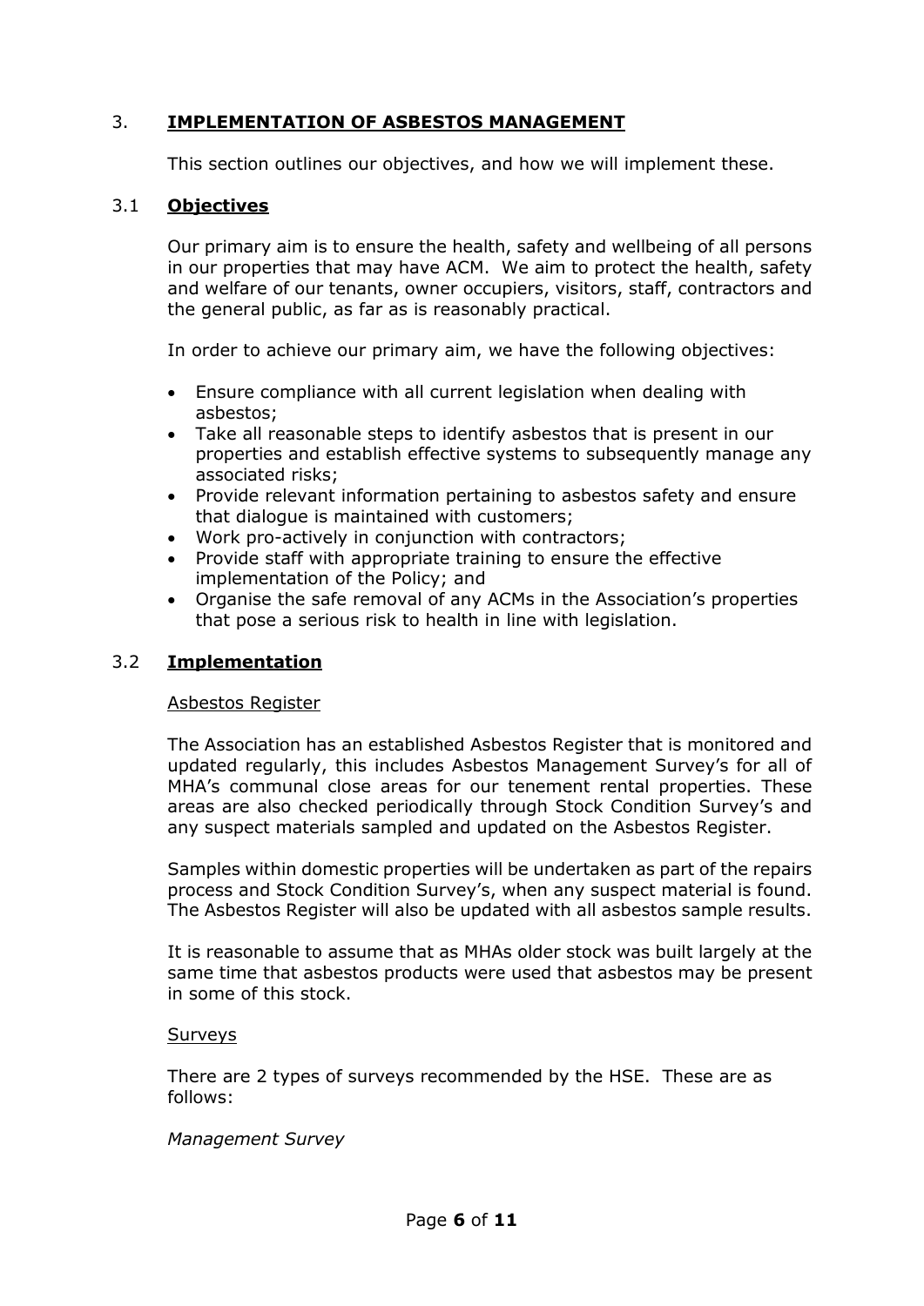## 3. **IMPLEMENTATION OF ASBESTOS MANAGEMENT**

This section outlines our objectives, and how we will implement these.

## 3.1 **Objectives**

Our primary aim is to ensure the health, safety and wellbeing of all persons in our properties that may have ACM. We aim to protect the health, safety and welfare of our tenants, owner occupiers, visitors, staff, contractors and the general public, as far as is reasonably practical.

In order to achieve our primary aim, we have the following objectives:

- Ensure compliance with all current legislation when dealing with asbestos;
- Take all reasonable steps to identify asbestos that is present in our properties and establish effective systems to subsequently manage any associated risks;
- Provide relevant information pertaining to asbestos safety and ensure that dialogue is maintained with customers;
- Work pro-actively in conjunction with contractors;
- Provide staff with appropriate training to ensure the effective implementation of the Policy; and
- Organise the safe removal of any ACMs in the Association's properties that pose a serious risk to health in line with legislation.

## 3.2 **Implementation**

#### Asbestos Register

The Association has an established Asbestos Register that is monitored and updated regularly, this includes Asbestos Management Survey's for all of MHA's communal close areas for our tenement rental properties. These areas are also checked periodically through Stock Condition Survey's and any suspect materials sampled and updated on the Asbestos Register.

Samples within domestic properties will be undertaken as part of the repairs process and Stock Condition Survey's, when any suspect material is found. The Asbestos Register will also be updated with all asbestos sample results.

It is reasonable to assume that as MHAs older stock was built largely at the same time that asbestos products were used that asbestos may be present in some of this stock.

#### **Surveys**

There are 2 types of surveys recommended by the HSE. These are as follows:

#### *Management Survey*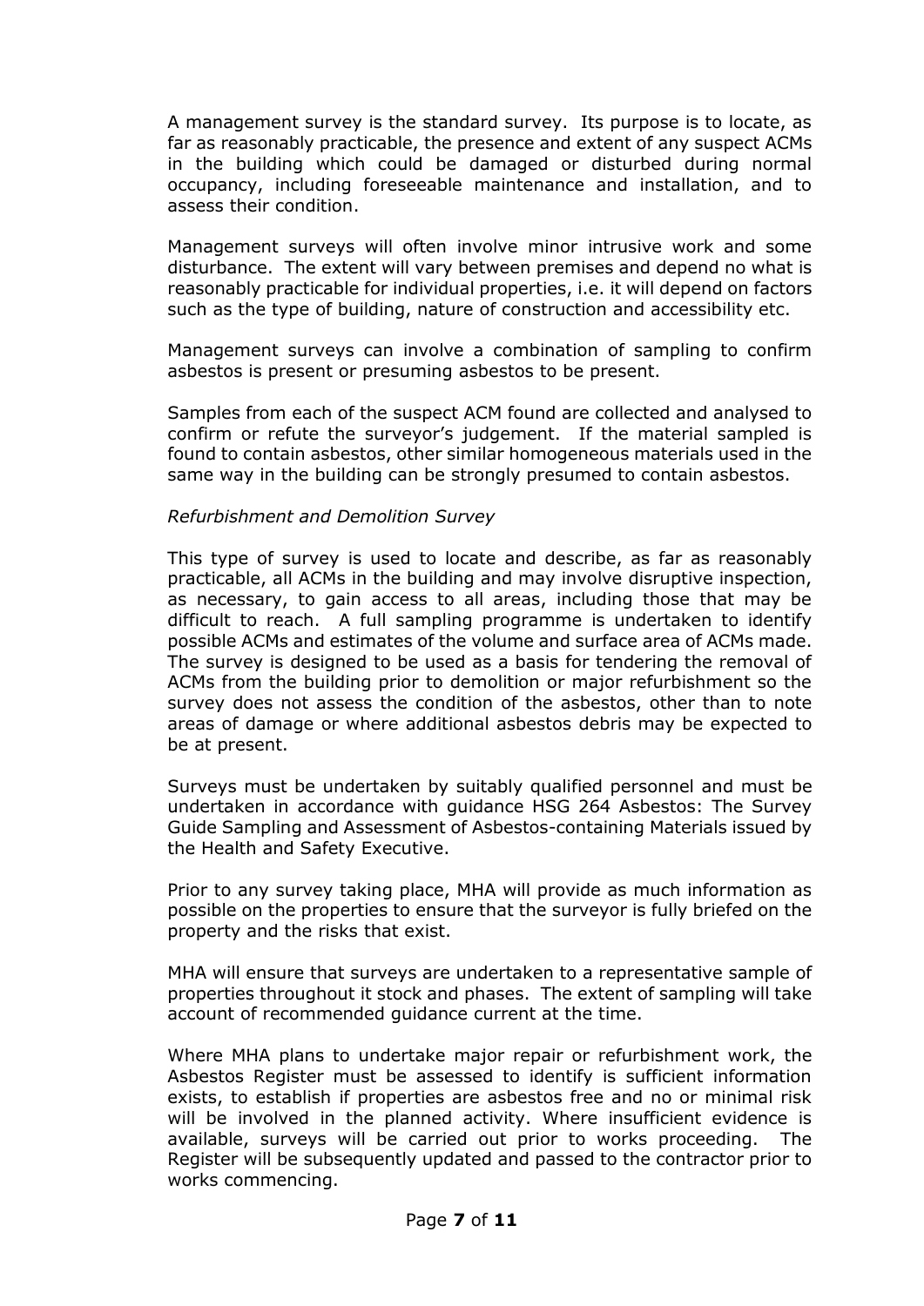A management survey is the standard survey. Its purpose is to locate, as far as reasonably practicable, the presence and extent of any suspect ACMs in the building which could be damaged or disturbed during normal occupancy, including foreseeable maintenance and installation, and to assess their condition.

Management surveys will often involve minor intrusive work and some disturbance. The extent will vary between premises and depend no what is reasonably practicable for individual properties, i.e. it will depend on factors such as the type of building, nature of construction and accessibility etc.

Management surveys can involve a combination of sampling to confirm asbestos is present or presuming asbestos to be present.

Samples from each of the suspect ACM found are collected and analysed to confirm or refute the surveyor's judgement. If the material sampled is found to contain asbestos, other similar homogeneous materials used in the same way in the building can be strongly presumed to contain asbestos.

#### *Refurbishment and Demolition Survey*

This type of survey is used to locate and describe, as far as reasonably practicable, all ACMs in the building and may involve disruptive inspection, as necessary, to gain access to all areas, including those that may be difficult to reach. A full sampling programme is undertaken to identify possible ACMs and estimates of the volume and surface area of ACMs made. The survey is designed to be used as a basis for tendering the removal of ACMs from the building prior to demolition or major refurbishment so the survey does not assess the condition of the asbestos, other than to note areas of damage or where additional asbestos debris may be expected to be at present.

Surveys must be undertaken by suitably qualified personnel and must be undertaken in accordance with guidance HSG 264 Asbestos: The Survey Guide Sampling and Assessment of Asbestos-containing Materials issued by the Health and Safety Executive.

Prior to any survey taking place, MHA will provide as much information as possible on the properties to ensure that the surveyor is fully briefed on the property and the risks that exist.

MHA will ensure that surveys are undertaken to a representative sample of properties throughout it stock and phases. The extent of sampling will take account of recommended guidance current at the time.

Where MHA plans to undertake major repair or refurbishment work, the Asbestos Register must be assessed to identify is sufficient information exists, to establish if properties are asbestos free and no or minimal risk will be involved in the planned activity. Where insufficient evidence is available, surveys will be carried out prior to works proceeding. The Register will be subsequently updated and passed to the contractor prior to works commencing.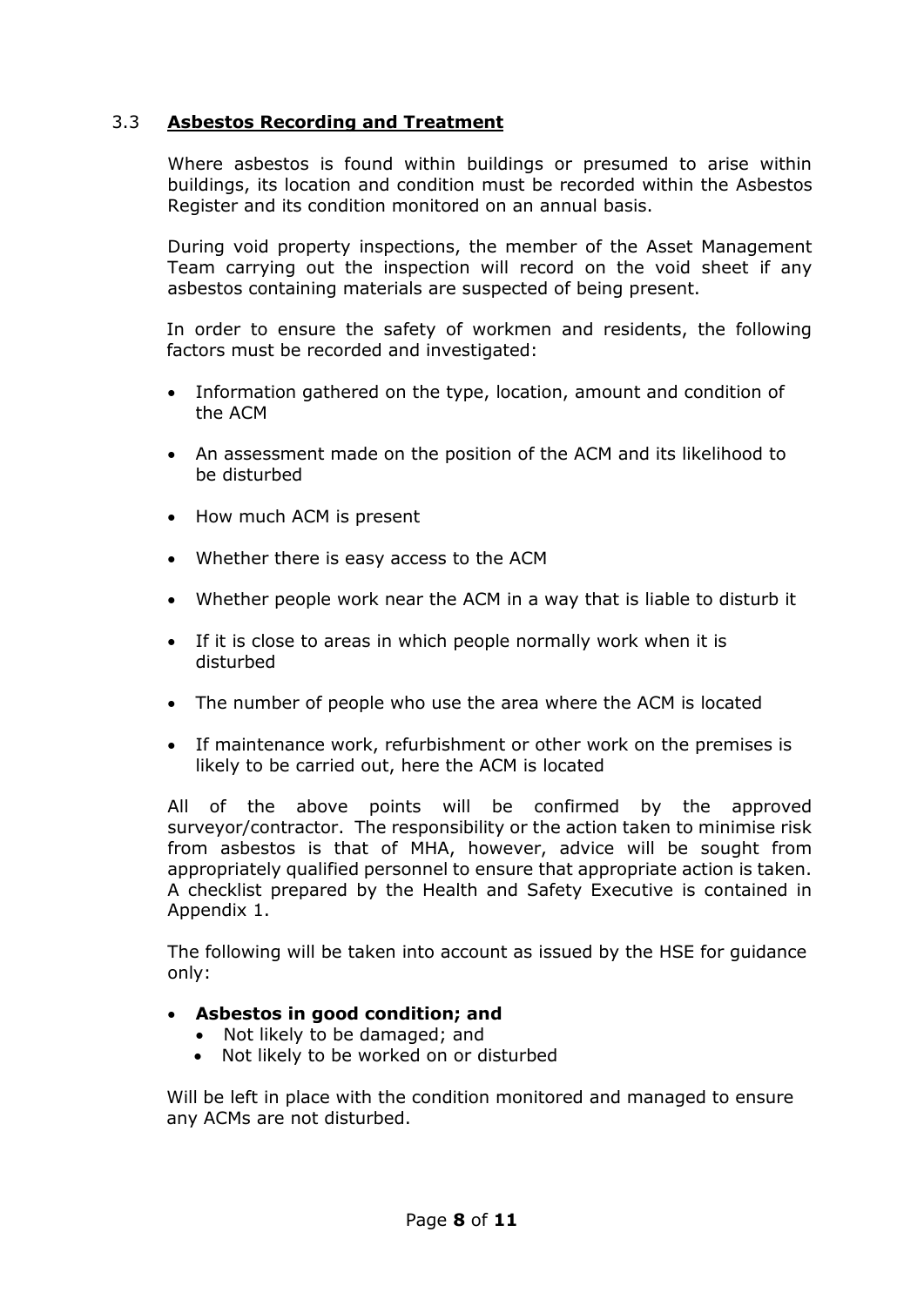## 3.3 **Asbestos Recording and Treatment**

Where asbestos is found within buildings or presumed to arise within buildings, its location and condition must be recorded within the Asbestos Register and its condition monitored on an annual basis.

During void property inspections, the member of the Asset Management Team carrying out the inspection will record on the void sheet if any asbestos containing materials are suspected of being present.

In order to ensure the safety of workmen and residents, the following factors must be recorded and investigated:

- Information gathered on the type, location, amount and condition of the ACM
- An assessment made on the position of the ACM and its likelihood to be disturbed
- How much ACM is present
- Whether there is easy access to the ACM
- Whether people work near the ACM in a way that is liable to disturb it
- If it is close to areas in which people normally work when it is disturbed
- The number of people who use the area where the ACM is located
- If maintenance work, refurbishment or other work on the premises is likely to be carried out, here the ACM is located

All of the above points will be confirmed by the approved surveyor/contractor. The responsibility or the action taken to minimise risk from asbestos is that of MHA, however, advice will be sought from appropriately qualified personnel to ensure that appropriate action is taken. A checklist prepared by the Health and Safety Executive is contained in Appendix 1.

The following will be taken into account as issued by the HSE for guidance only:

#### **Asbestos in good condition; and**

- Not likely to be damaged; and
- Not likely to be worked on or disturbed

Will be left in place with the condition monitored and managed to ensure any ACMs are not disturbed.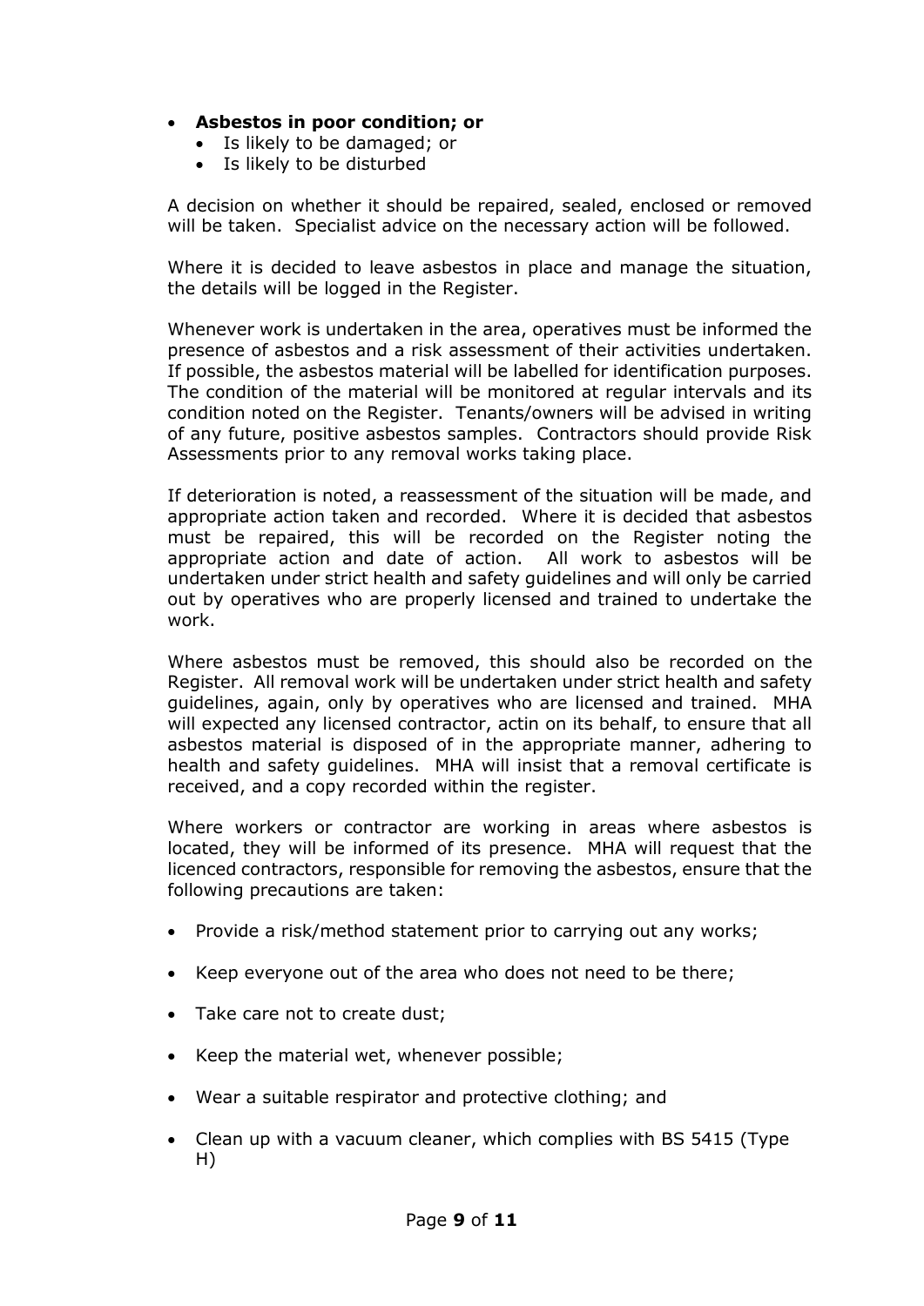## **Asbestos in poor condition; or**

- Is likely to be damaged; or
- Is likely to be disturbed

A decision on whether it should be repaired, sealed, enclosed or removed will be taken. Specialist advice on the necessary action will be followed.

Where it is decided to leave asbestos in place and manage the situation, the details will be logged in the Register.

Whenever work is undertaken in the area, operatives must be informed the presence of asbestos and a risk assessment of their activities undertaken. If possible, the asbestos material will be labelled for identification purposes. The condition of the material will be monitored at regular intervals and its condition noted on the Register. Tenants/owners will be advised in writing of any future, positive asbestos samples. Contractors should provide Risk Assessments prior to any removal works taking place.

If deterioration is noted, a reassessment of the situation will be made, and appropriate action taken and recorded. Where it is decided that asbestos must be repaired, this will be recorded on the Register noting the appropriate action and date of action. All work to asbestos will be undertaken under strict health and safety guidelines and will only be carried out by operatives who are properly licensed and trained to undertake the work.

Where asbestos must be removed, this should also be recorded on the Register. All removal work will be undertaken under strict health and safety guidelines, again, only by operatives who are licensed and trained. MHA will expected any licensed contractor, actin on its behalf, to ensure that all asbestos material is disposed of in the appropriate manner, adhering to health and safety guidelines. MHA will insist that a removal certificate is received, and a copy recorded within the register.

Where workers or contractor are working in areas where asbestos is located, they will be informed of its presence. MHA will request that the licenced contractors, responsible for removing the asbestos, ensure that the following precautions are taken:

- Provide a risk/method statement prior to carrying out any works;
- Keep everyone out of the area who does not need to be there;
- Take care not to create dust:
- Keep the material wet, whenever possible;
- Wear a suitable respirator and protective clothing; and
- Clean up with a vacuum cleaner, which complies with BS 5415 (Type H)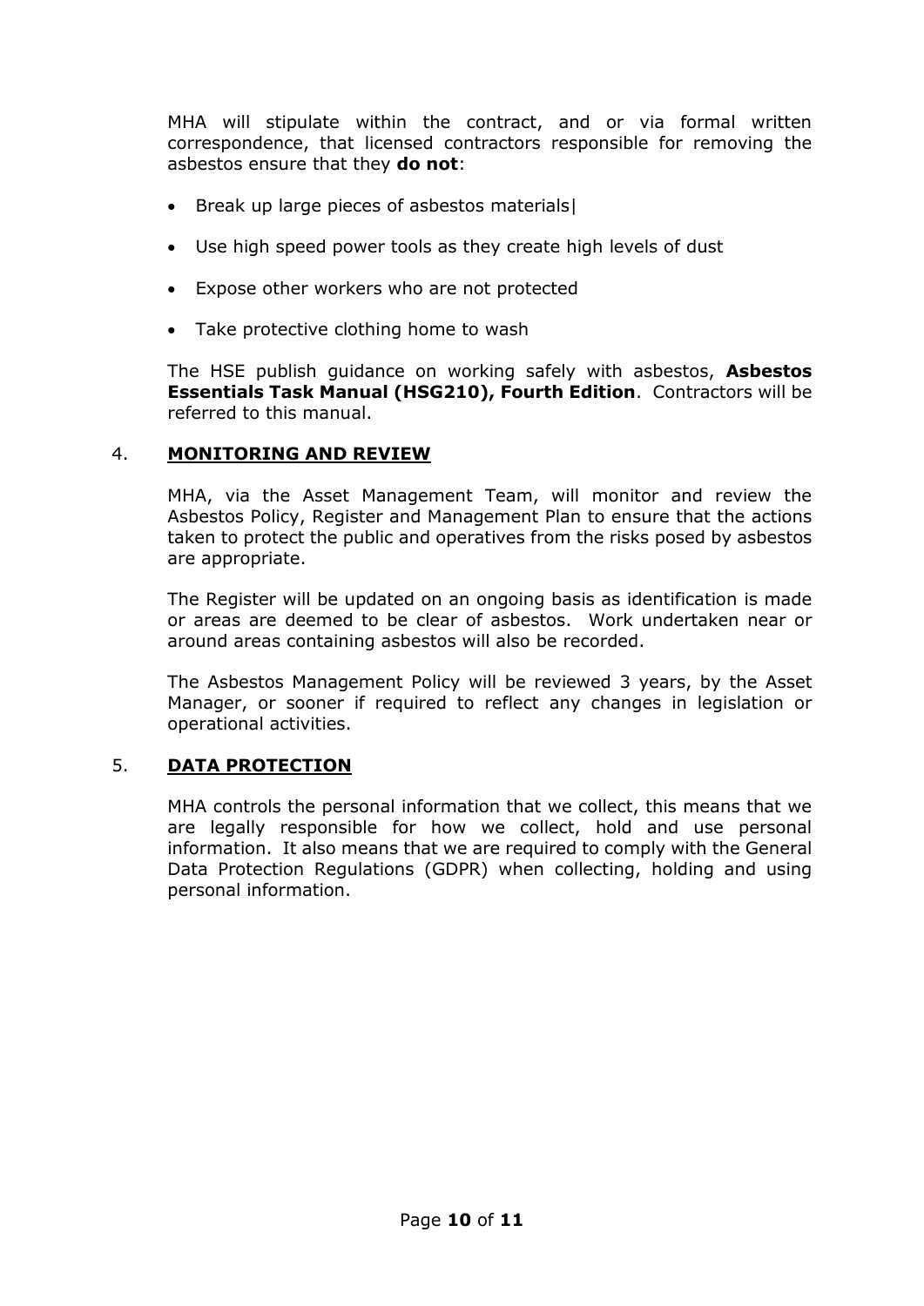MHA will stipulate within the contract, and or via formal written correspondence, that licensed contractors responsible for removing the asbestos ensure that they **do not**:

- Break up large pieces of asbestos materials|
- Use high speed power tools as they create high levels of dust
- Expose other workers who are not protected
- Take protective clothing home to wash

The HSE publish guidance on working safely with asbestos, **Asbestos Essentials Task Manual (HSG210), Fourth Edition**. Contractors will be referred to this manual.

#### 4. **MONITORING AND REVIEW**

MHA, via the Asset Management Team, will monitor and review the Asbestos Policy, Register and Management Plan to ensure that the actions taken to protect the public and operatives from the risks posed by asbestos are appropriate.

The Register will be updated on an ongoing basis as identification is made or areas are deemed to be clear of asbestos. Work undertaken near or around areas containing asbestos will also be recorded.

The Asbestos Management Policy will be reviewed 3 years, by the Asset Manager, or sooner if required to reflect any changes in legislation or operational activities.

#### 5. **DATA PROTECTION**

MHA controls the personal information that we collect, this means that we are legally responsible for how we collect, hold and use personal information. It also means that we are required to comply with the General Data Protection Regulations (GDPR) when collecting, holding and using personal information.